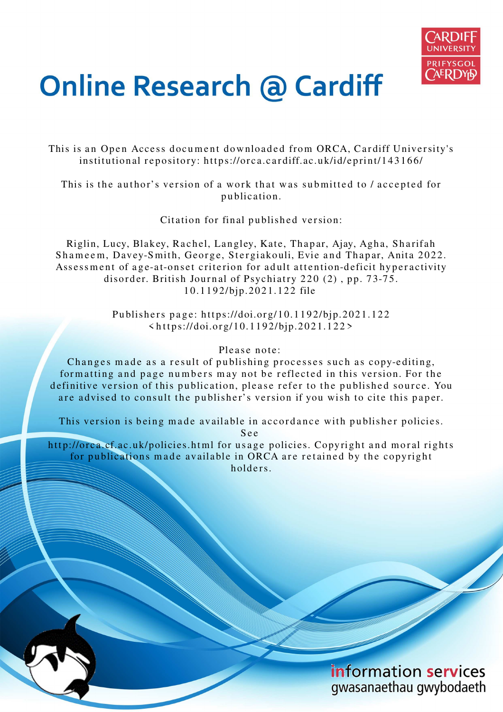

# **Online Research @ Cardiff**

This is an Open Access document downloaded from ORCA, Cardiff University's institutional repository: https://orca.cardiff.ac.uk/id/eprint/143166/

This is the author's version of a work that was submitted to / accepted for p u blication.

Citation for final published version:

Riglin, Lucy, Blakey, Rachel, Langley, Kate, Thapar, Ajay, Agha, Sharifah Shameem, Davey-Smith, George, Stergiakouli, Evie and Thapar, Anita 2022. Assessment of age-at-onset criterion for adult attention-deficit hyperactivity disorder. British Journal of Psychiatry  $220(2)$ , pp. 73-75. 10.1192/bjp.2021.122 file

> Publishers page: https://doi.org/10.1192/bjp.2021.122  $\langle https://doi.org/10.1192/bjp.2021.122 \rangle$

# Please note:

Changes made as a result of publishing processes such as copy-editing, formatting and page numbers may not be reflected in this version. For the definitive version of this publication, please refer to the published source. You are advised to consult the publisher's version if you wish to cite this paper.

This version is being made available in accordance with publisher policies.

S e e

http://orca.cf.ac.uk/policies.html for usage policies. Copyright and moral rights for publications made available in ORCA are retained by the copyright holders.

> information services gwasanaethau gwybodaeth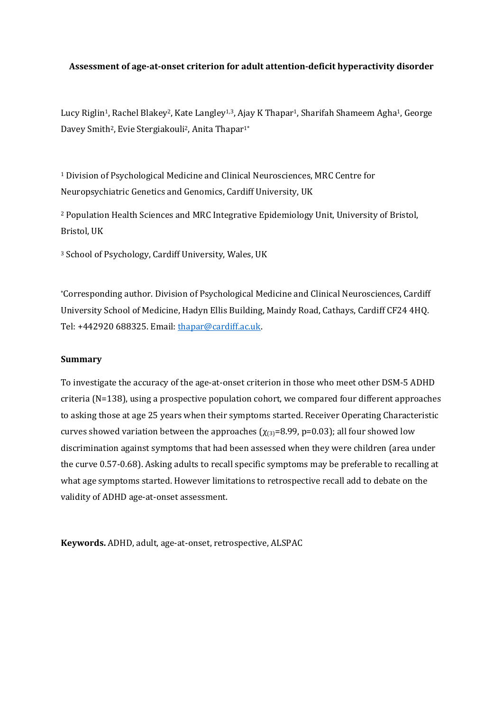## **Assessment of age-at-onset criterion for adult attention-deficit hyperactivity disorder**

Lucy Riglin<sup>1</sup>, Rachel Blakey<sup>2</sup>, Kate Langley<sup>1,3</sup>, Ajay K Thapar<sup>1</sup>, Sharifah Shameem Agha<sup>1</sup>, George Davey Smith<sup>2</sup>, Evie Stergiakouli<sup>2</sup>, Anita Thapar<sup>1\*</sup>

<sup>1</sup> Division of Psychological Medicine and Clinical Neurosciences, MRC Centre for Neuropsychiatric Genetics and Genomics, Cardiff University, UK

<sup>2</sup> Population Health Sciences and MRC Integrative Epidemiology Unit, University of Bristol, Bristol, UK

<sup>3</sup> School of Psychology, Cardiff University, Wales, UK

\*Corresponding author. Division of Psychological Medicine and Clinical Neurosciences, Cardiff University School of Medicine, Hadyn Ellis Building, Maindy Road, Cathays, Cardiff CF24 4HQ. Tel: +442920 688325. Email: thapar@cardiff.ac.uk.

## **Summary**

To investigate the accuracy of the age-at-onset criterion in those who meet other DSM-5 ADHD criteria (N=138), using a prospective population cohort, we compared four different approaches to asking those at age 25 years when their symptoms started. Receiver Operating Characteristic curves showed variation between the approaches ( $\chi_{(3)}=8.99$ , p=0.03); all four showed low discrimination against symptoms that had been assessed when they were children (area under the curve 0.57-0.68). Asking adults to recall specific symptoms may be preferable to recalling at what age symptoms started. However limitations to retrospective recall add to debate on the validity of ADHD age-at-onset assessment.

**Keywords.** ADHD, adult, age-at-onset, retrospective, ALSPAC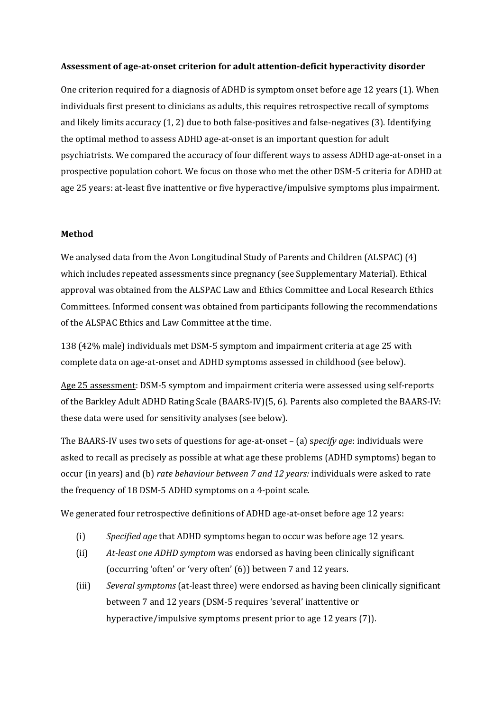## **Assessment of age-at-onset criterion for adult attention-deficit hyperactivity disorder**

One criterion required for a diagnosis of ADHD is symptom onset before age 12 years (1). When individuals first present to clinicians as adults, this requires retrospective recall of symptoms and likely limits accuracy (1, 2) due to both false-positives and false-negatives (3). Identifying the optimal method to assess ADHD age-at-onset is an important question for adult psychiatrists. We compared the accuracy of four different ways to assess ADHD age-at-onset in a prospective population cohort. We focus on those who met the other DSM-5 criteria for ADHD at age 25 years: at-least five inattentive or five hyperactive/impulsive symptoms plus impairment.

#### **Method**

We analysed data from the Avon Longitudinal Study of Parents and Children (ALSPAC) (4) which includes repeated assessments since pregnancy (see Supplementary Material). Ethical approval was obtained from the ALSPAC Law and Ethics Committee and Local Research Ethics Committees. Informed consent was obtained from participants following the recommendations of the ALSPAC Ethics and Law Committee at the time.

138 (42% male) individuals met DSM-5 symptom and impairment criteria at age 25 with complete data on age-at-onset and ADHD symptoms assessed in childhood (see below).

Age 25 assessment: DSM-5 symptom and impairment criteria were assessed using self-reports of the Barkley Adult ADHD Rating Scale (BAARS-IV)(5, 6). Parents also completed the BAARS-IV: these data were used for sensitivity analyses (see below).

The BAARS-IV uses two sets of questions for age-at-onset – (a) s*pecify age*: individuals were asked to recall as precisely as possible at what age these problems (ADHD symptoms) began to occur (in years) and (b) *rate behaviour between 7 and 12 years:* individuals were asked to rate the frequency of 18 DSM-5 ADHD symptoms on a 4-point scale.

We generated four retrospective definitions of ADHD age-at-onset before age 12 years:

- (i) *Specified age* that ADHD symptoms began to occur was before age 12 years.
- (ii) *At-least one ADHD symptom* was endorsed as having been clinically significant (occurring 'often' or 'very often' (6)) between 7 and 12 years.
- (iii) *Several symptoms* (at-least three) were endorsed as having been clinically significant between 7 and 12 years (DSM-5 requires 'several' inattentive or hyperactive/impulsive symptoms present prior to age 12 years (7)).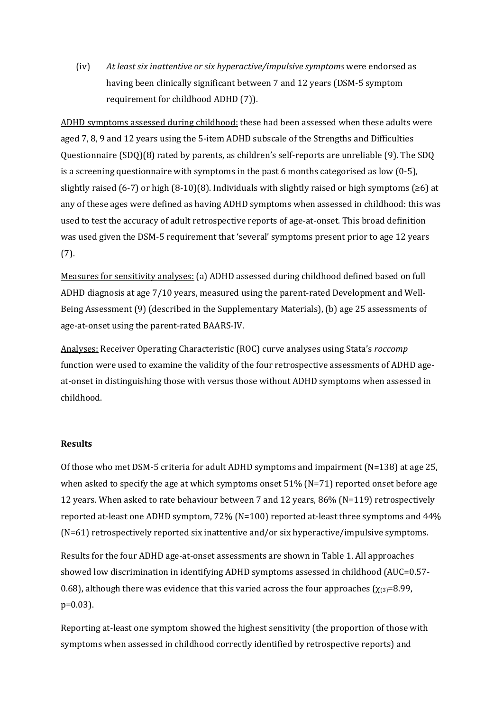(iv) *At least six inattentive or six hyperactive/impulsive symptoms* were endorsed as having been clinically significant between 7 and 12 years (DSM-5 symptom requirement for childhood ADHD (7)).

ADHD symptoms assessed during childhood: these had been assessed when these adults were aged 7, 8, 9 and 12 years using the 5-item ADHD subscale of the Strengths and Difficulties Questionnaire (SDQ)(8) rated by parents, as children's self-reports are unreliable (9). The SDQ is a screening questionnaire with symptoms in the past 6 months categorised as low  $(0-5)$ , slightly raised (6-7) or high (8-10)(8). Individuals with slightly raised or high symptoms (≥6) at any of these ages were defined as having ADHD symptoms when assessed in childhood: this was used to test the accuracy of adult retrospective reports of age-at-onset. This broad definition was used given the DSM-5 requirement that 'several' symptoms present prior to age 12 years (7).

Measures for sensitivity analyses: (a) ADHD assessed during childhood defined based on full ADHD diagnosis at age 7/10 years, measured using the parent-rated Development and Well-Being Assessment (9) (described in the Supplementary Materials), (b) age 25 assessments of age-at-onset using the parent-rated BAARS-IV.

Analyses: Receiver Operating Characteristic (ROC) curve analyses using Stata's *roccomp* function were used to examine the validity of the four retrospective assessments of ADHD ageat-onset in distinguishing those with versus those without ADHD symptoms when assessed in childhood.

## **Results**

Of those who met DSM-5 criteria for adult ADHD symptoms and impairment (N=138) at age 25, when asked to specify the age at which symptoms onset  $51\%$  (N=71) reported onset before age 12 years. When asked to rate behaviour between 7 and 12 years, 86% (N=119) retrospectively reported at-least one ADHD symptom, 72% (N=100) reported at-least three symptoms and 44% (N=61) retrospectively reported six inattentive and/or six hyperactive/impulsive symptoms.

Results for the four ADHD age-at-onset assessments are shown in Table 1. All approaches showed low discrimination in identifying ADHD symptoms assessed in childhood (AUC=0.57- 0.68), although there was evidence that this varied across the four approaches ( $\chi_{(3)}=8.99$ , p=0.03).

Reporting at-least one symptom showed the highest sensitivity (the proportion of those with symptoms when assessed in childhood correctly identified by retrospective reports) and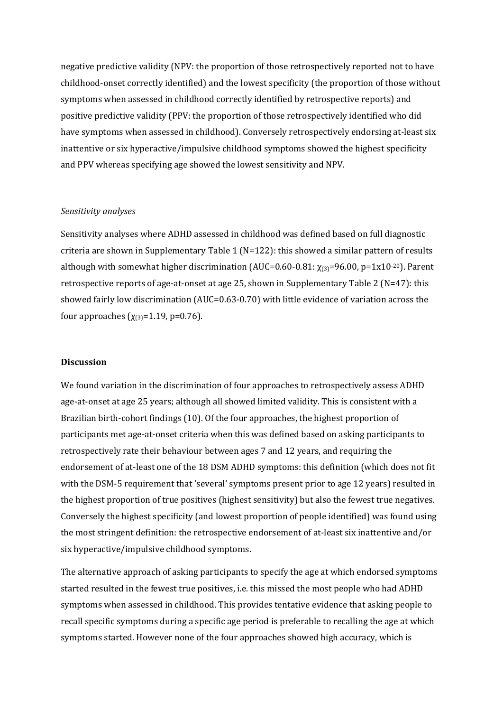negative predictive validity (NPV: the proportion of those retrospectively reported not to have childhood-onset correctly identified) and the lowest specificity (the proportion of those without symptoms when assessed in childhood correctly identified by retrospective reports) and positive predictive validity (PPV: the proportion of those retrospectively identified who did have symptoms when assessed in childhood). Conversely retrospectively endorsing at-least six inattentive or six hyperactive/impulsive childhood symptoms showed the highest specificity and PPV whereas specifying age showed the lowest sensitivity and NPV.

#### *Sensitivity analyses*

Sensitivity analyses where ADHD assessed in childhood was defined based on full diagnostic criteria are shown in Supplementary Table 1 ( $N=122$ ): this showed a similar pattern of results although with somewhat higher discrimination (AUC=0.60-0.81:  $\chi_{(3)}$ =96.00, p=1x10<sup>-20</sup>). Parent retrospective reports of age-at-onset at age 25, shown in Supplementary Table 2 ( $N=47$ ): this showed fairly low discrimination (AUC=0.63-0.70) with little evidence of variation across the four approaches  $(χ_{(3)}=1.19, p=0.76)$ .

#### **Discussion**

We found variation in the discrimination of four approaches to retrospectively assess ADHD age-at-onset at age 25 years; although all showed limited validity. This is consistent with a Brazilian birth-cohort findings (10). Of the four approaches, the highest proportion of participants met age-at-onset criteria when this was defined based on asking participants to retrospectively rate their behaviour between ages 7 and 12 years, and requiring the endorsement of at-least one of the 18 DSM ADHD symptoms: this definition (which does not fit with the DSM-5 requirement that 'several' symptoms present prior to age 12 years) resulted in the highest proportion of true positives (highest sensitivity) but also the fewest true negatives. Conversely the highest specificity (and lowest proportion of people identified) was found using the most stringent definition: the retrospective endorsement of at-least six inattentive and/or six hyperactive/impulsive childhood symptoms.

The alternative approach of asking participants to specify the age at which endorsed symptoms started resulted in the fewest true positives, i.e. this missed the most people who had ADHD symptoms when assessed in childhood. This provides tentative evidence that asking people to recall specific symptoms during a specific age period is preferable to recalling the age at which symptoms started. However none of the four approaches showed high accuracy, which is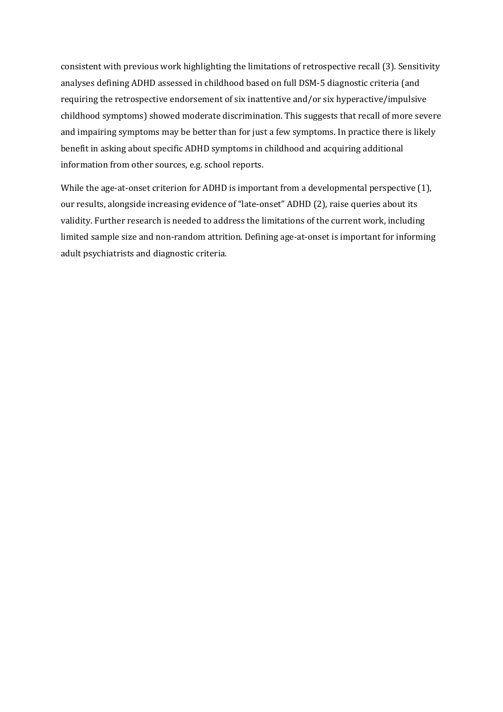consistent with previous work highlighting the limitations of retrospective recall (3). Sensitivity analyses defining ADHD assessed in childhood based on full DSM-5 diagnostic criteria (and requiring the retrospective endorsement of six inattentive and/or six hyperactive/impulsive childhood symptoms) showed moderate discrimination. This suggests that recall of more severe and impairing symptoms may be better than for just a few symptoms. In practice there is likely benefit in asking about specific ADHD symptoms in childhood and acquiring additional information from other sources, e.g. school reports.

While the age-at-onset criterion for ADHD is important from a developmental perspective (1), our results, alongside increasing evidence of "late-onset" ADHD (2), raise queries about its validity. Further research is needed to address the limitations of the current work, including limited sample size and non-random attrition. Defining age-at-onset is important for informing adult psychiatrists and diagnostic criteria.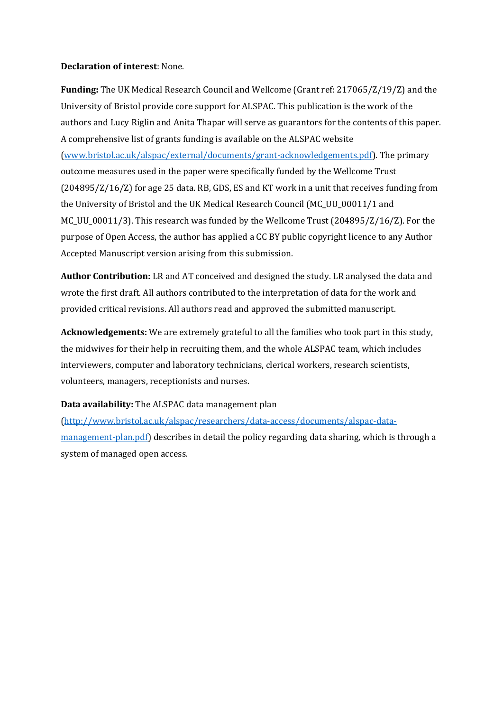## **Declaration of interest**: None.

**Funding:** The UK Medical Research Council and Wellcome (Grant ref: 217065/Z/19/Z) and the University of Bristol provide core support for ALSPAC. This publication is the work of the authors and Lucy Riglin and Anita Thapar will serve as guarantors for the contents of this paper. A comprehensive list of grants funding is available on the ALSPAC website (www.bristol.ac.uk/alspac/external/documents/grant-acknowledgements.pdf). The primary outcome measures used in the paper were specifically funded by the Wellcome Trust (204895/Z/16/Z) for age 25 data. RB, GDS, ES and KT work in a unit that receives funding from the University of Bristol and the UK Medical Research Council (MC\_UU\_00011/1 and MC\_UU\_00011/3). This research was funded by the Wellcome Trust (204895/Z/16/Z). For the purpose of Open Access, the author has applied a CC BY public copyright licence to any Author Accepted Manuscript version arising from this submission.

**Author Contribution:** LR and AT conceived and designed the study. LR analysed the data and wrote the first draft. All authors contributed to the interpretation of data for the work and provided critical revisions. All authors read and approved the submitted manuscript.

**Acknowledgements:** We are extremely grateful to all the families who took part in this study, the midwives for their help in recruiting them, and the whole ALSPAC team, which includes interviewers, computer and laboratory technicians, clerical workers, research scientists, volunteers, managers, receptionists and nurses.

# **Data availability:** The ALSPAC data management plan

(http://www.bristol.ac.uk/alspac/researchers/data-access/documents/alspac-datamanagement-plan.pdf) describes in detail the policy regarding data sharing, which is through a system of managed open access.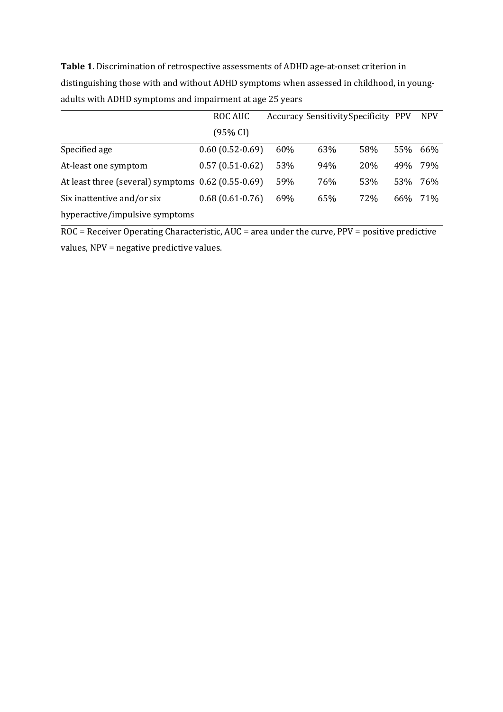**Table 1**. Discrimination of retrospective assessments of ADHD age-at-onset criterion in distinguishing those with and without ADHD symptoms when assessed in childhood, in youngadults with ADHD symptoms and impairment at age 25 years

|                                                    | <b>ROC AUC</b>    | Accuracy Sensitivity Specificity PPV |     |     |     | <b>NPV</b> |
|----------------------------------------------------|-------------------|--------------------------------------|-----|-----|-----|------------|
|                                                    | (95% CI)          |                                      |     |     |     |            |
| Specified age                                      | $0.60(0.52-0.69)$ | 60%                                  | 63% | 58% | 55% | 66%        |
| At-least one symptom                               | $0.57(0.51-0.62)$ | 53%                                  | 94% | 20% | 49% | 79%        |
| At least three (several) symptoms 0.62 (0.55-0.69) |                   | 59%                                  | 76% | 53% | 53% | 76%        |
| Six inattentive and/or six                         | $0.68(0.61-0.76)$ | 69%                                  | 65% | 72% | 66% | 71%        |
| hyperactive/impulsive symptoms                     |                   |                                      |     |     |     |            |

ROC = Receiver Operating Characteristic, AUC = area under the curve, PPV = positive predictive values, NPV = negative predictive values.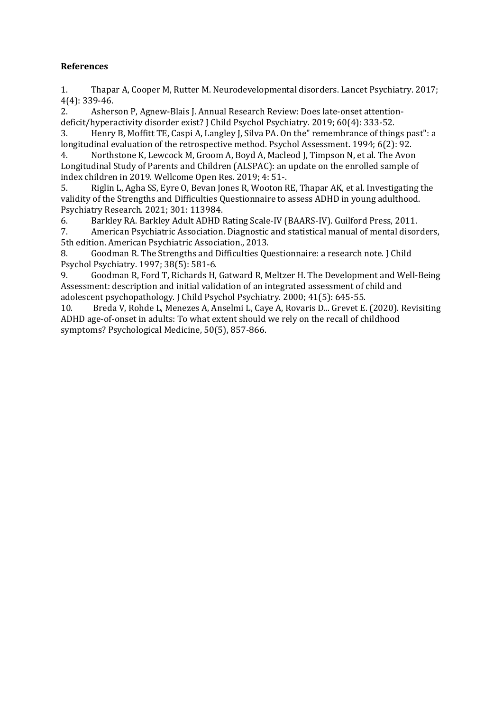# **References**

1. Thapar A, Cooper M, Rutter M. Neurodevelopmental disorders. Lancet Psychiatry. 2017; 4(4): 339-46.

2. Asherson P, Agnew-Blais J. Annual Research Review: Does late-onset attentiondeficit/hyperactivity disorder exist? J Child Psychol Psychiatry. 2019; 60(4): 333-52.

3. Henry B, Moffitt TE, Caspi A, Langley J, Silva PA. On the" remembrance of things past": a longitudinal evaluation of the retrospective method. Psychol Assessment. 1994; 6(2): 92.

4. Northstone K, Lewcock M, Groom A, Boyd A, Macleod J, Timpson N, et al. The Avon Longitudinal Study of Parents and Children (ALSPAC): an update on the enrolled sample of index children in 2019. Wellcome Open Res. 2019; 4: 51-.

5. Riglin L, Agha SS, Eyre O, Bevan Jones R, Wooton RE, Thapar AK, et al. Investigating the validity of the Strengths and Difficulties Questionnaire to assess ADHD in young adulthood. Psychiatry Research. 2021; 301: 113984.

6. Barkley RA. Barkley Adult ADHD Rating Scale-IV (BAARS-IV). Guilford Press, 2011.

7. American Psychiatric Association. Diagnostic and statistical manual of mental disorders, 5th edition. American Psychiatric Association., 2013.

8. Goodman R. The Strengths and Difficulties Questionnaire: a research note. J Child Psychol Psychiatry. 1997; 38(5): 581-6.

9. Goodman R, Ford T, Richards H, Gatward R, Meltzer H. The Development and Well-Being Assessment: description and initial validation of an integrated assessment of child and adolescent psychopathology. J Child Psychol Psychiatry. 2000; 41(5): 645-55.

10. Breda V, Rohde L, Menezes A, Anselmi L, Caye A, Rovaris D... Grevet E. (2020). Revisiting ADHD age-of-onset in adults: To what extent should we rely on the recall of childhood symptoms? Psychological Medicine, 50(5), 857-866.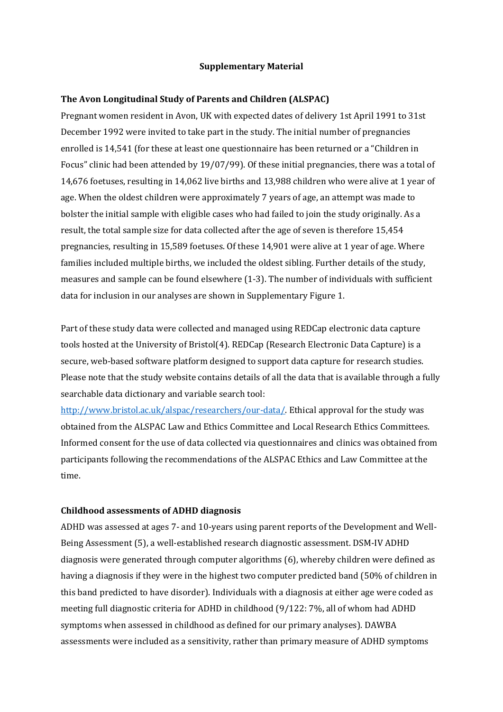#### **Supplementary Material**

#### **The Avon Longitudinal Study of Parents and Children (ALSPAC)**

Pregnant women resident in Avon, UK with expected dates of delivery 1st April 1991 to 31st December 1992 were invited to take part in the study. The initial number of pregnancies enrolled is 14,541 (for these at least one questionnaire has been returned or a "Children in Focus" clinic had been attended by 19/07/99). Of these initial pregnancies, there was a total of 14,676 foetuses, resulting in 14,062 live births and 13,988 children who were alive at 1 year of age. When the oldest children were approximately 7 years of age, an attempt was made to bolster the initial sample with eligible cases who had failed to join the study originally. As a result, the total sample size for data collected after the age of seven is therefore 15,454 pregnancies, resulting in 15,589 foetuses. Of these 14,901 were alive at 1 year of age. Where families included multiple births, we included the oldest sibling. Further details of the study, measures and sample can be found elsewhere (1-3). The number of individuals with sufficient data for inclusion in our analyses are shown in Supplementary Figure 1.

Part of these study data were collected and managed using REDCap electronic data capture tools hosted at the University of Bristol(4). REDCap (Research Electronic Data Capture) is a secure, web-based software platform designed to support data capture for research studies. Please note that the study website contains details of all the data that is available through a fully searchable data dictionary and variable search tool:

http://www.bristol.ac.uk/alspac/researchers/our-data/. Ethical approval for the study was obtained from the ALSPAC Law and Ethics Committee and Local Research Ethics Committees. Informed consent for the use of data collected via questionnaires and clinics was obtained from participants following the recommendations of the ALSPAC Ethics and Law Committee at the time.

#### **Childhood assessments of ADHD diagnosis**

ADHD was assessed at ages 7- and 10-years using parent reports of the Development and Well-Being Assessment (5), a well-established research diagnostic assessment. DSM-IV ADHD diagnosis were generated through computer algorithms (6), whereby children were defined as having a diagnosis if they were in the highest two computer predicted band (50% of children in this band predicted to have disorder). Individuals with a diagnosis at either age were coded as meeting full diagnostic criteria for ADHD in childhood (9/122: 7%, all of whom had ADHD symptoms when assessed in childhood as defined for our primary analyses). DAWBA assessments were included as a sensitivity, rather than primary measure of ADHD symptoms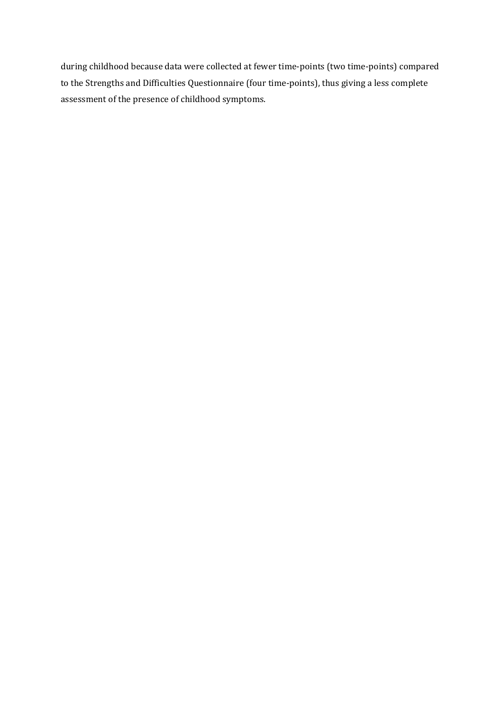during childhood because data were collected at fewer time-points (two time-points) compared to the Strengths and Difficulties Questionnaire (four time-points), thus giving a less complete assessment of the presence of childhood symptoms.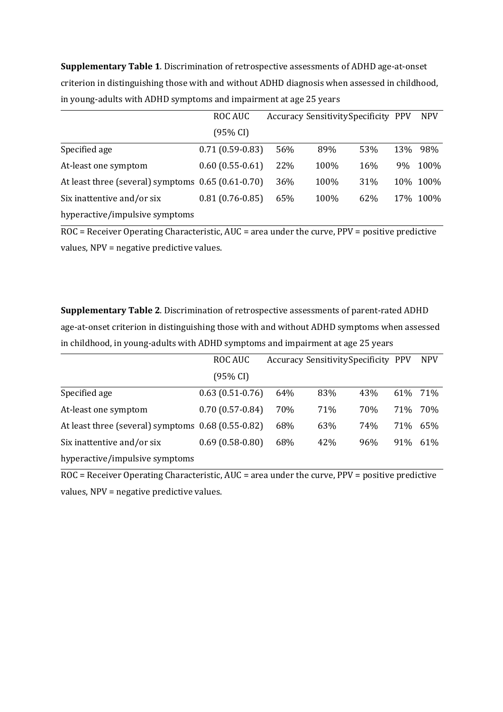**Supplementary Table 1**. Discrimination of retrospective assessments of ADHD age-at-onset criterion in distinguishing those with and without ADHD diagnosis when assessed in childhood, in young-adults with ADHD symptoms and impairment at age 25 years

|                                                      | ROC AUC           | Accuracy Sensitivity Specificity PPV |      |     | <b>NPV</b> |          |
|------------------------------------------------------|-------------------|--------------------------------------|------|-----|------------|----------|
|                                                      | (95% CI)          |                                      |      |     |            |          |
| Specified age                                        | $0.71(0.59-0.83)$ | 56%                                  | 89%  | 53% | 13%        | 98%      |
| At-least one symptom                                 | $0.60(0.55-0.61)$ | 22%                                  | 100% | 16% | 9%         | 100%     |
| At least three (several) symptoms $0.65$ (0.61-0.70) |                   | 36%                                  | 100% | 31% |            | 10% 100% |
| Six inattentive and/or six                           | $0.81(0.76-0.85)$ | 65%                                  | 100% | 62% |            | 17% 100% |
| hyperactive/impulsive symptoms                       |                   |                                      |      |     |            |          |

 $\overline{ROC}$  = Receiver Operating Characteristic, AUC = area under the curve, PPV = positive predictive values, NPV = negative predictive values.

**Supplementary Table 2**. Discrimination of retrospective assessments of parent-rated ADHD age-at-onset criterion in distinguishing those with and without ADHD symptoms when assessed in childhood, in young-adults with ADHD symptoms and impairment at age 25 years

|                                                    | ROC AUC           |     | Accuracy Sensitivity Specificity PPV |            |      | <b>NPV</b> |
|----------------------------------------------------|-------------------|-----|--------------------------------------|------------|------|------------|
|                                                    | (95% CI)          |     |                                      |            |      |            |
| Specified age                                      | $0.63(0.51-0.76)$ | 64% | 83%                                  | 43%        | 61%  | 71%        |
| At-least one symptom                               | $0.70(0.57-0.84)$ | 70% | 71%                                  | <b>70%</b> | 71\% | 70%        |
| At least three (several) symptoms 0.68 (0.55-0.82) |                   | 68% | 63%                                  | 74%        | 71%  | 65%        |
| Six inattentive and/or six                         | $0.69(0.58-0.80)$ | 68% | 42%                                  | 96%        | 91%  | 61%        |
| hyperactive/impulsive symptoms                     |                   |     |                                      |            |      |            |

ROC = Receiver Operating Characteristic, AUC = area under the curve, PPV = positive predictive values, NPV = negative predictive values.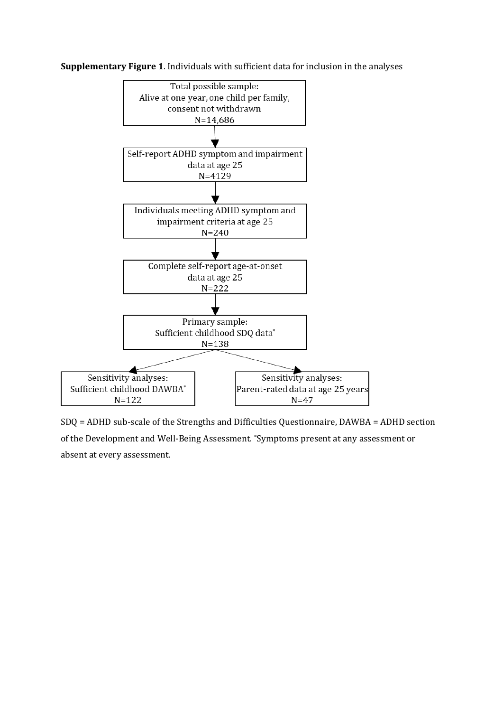**Supplementary Figure 1**. Individuals with sufficient data for inclusion in the analyses



SDQ = ADHD sub-scale of the Strengths and Difficulties Questionnaire, DAWBA = ADHD section of the Development and Well-Being Assessment. \*Symptoms present at any assessment or absent at every assessment.